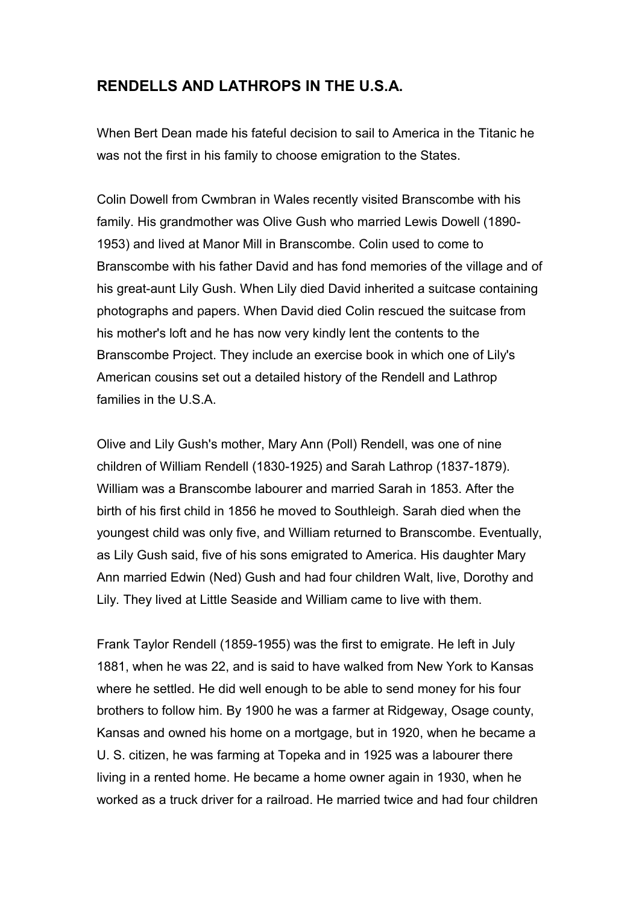## **RENDELLS AND LATHROPS IN THE U.S.A.**

When Bert Dean made his fateful decision to sail to America in the Titanic he was not the first in his family to choose emigration to the States.

Colin Dowell from Cwmbran in Wales recently visited Branscombe with his family. His grandmother was Olive Gush who married Lewis Dowell (1890- 1953) and lived at Manor Mill in Branscombe. Colin used to come to Branscombe with his father David and has fond memories of the village and of his great-aunt Lily Gush. When Lily died David inherited a suitcase containing photographs and papers. When David died Colin rescued the suitcase from his mother's loft and he has now very kindly lent the contents to the Branscombe Project. They include an exercise book in which one of Lily's American cousins set out a detailed history of the Rendell and Lathrop families in the U.S.A.

Olive and Lily Gush's mother, Mary Ann (Poll) Rendell, was one of nine children of William Rendell (1830-1925) and Sarah Lathrop (1837-1879). William was a Branscombe labourer and married Sarah in 1853. After the birth of his first child in 1856 he moved to Southleigh. Sarah died when the youngest child was only five, and William returned to Branscombe. Eventually, as Lily Gush said, five of his sons emigrated to America. His daughter Mary Ann married Edwin (Ned) Gush and had four children Walt, live, Dorothy and Lily. They lived at Little Seaside and William came to live with them.

Frank Taylor Rendell (1859-1955) was the first to emigrate. He left in July 1881, when he was 22, and is said to have walked from New York to Kansas where he settled. He did well enough to be able to send money for his four brothers to follow him. By 1900 he was a farmer at Ridgeway, Osage county, Kansas and owned his home on a mortgage, but in 1920, when he became a U. S. citizen, he was farming at Topeka and in 1925 was a labourer there living in a rented home. He became a home owner again in 1930, when he worked as a truck driver for a railroad. He married twice and had four children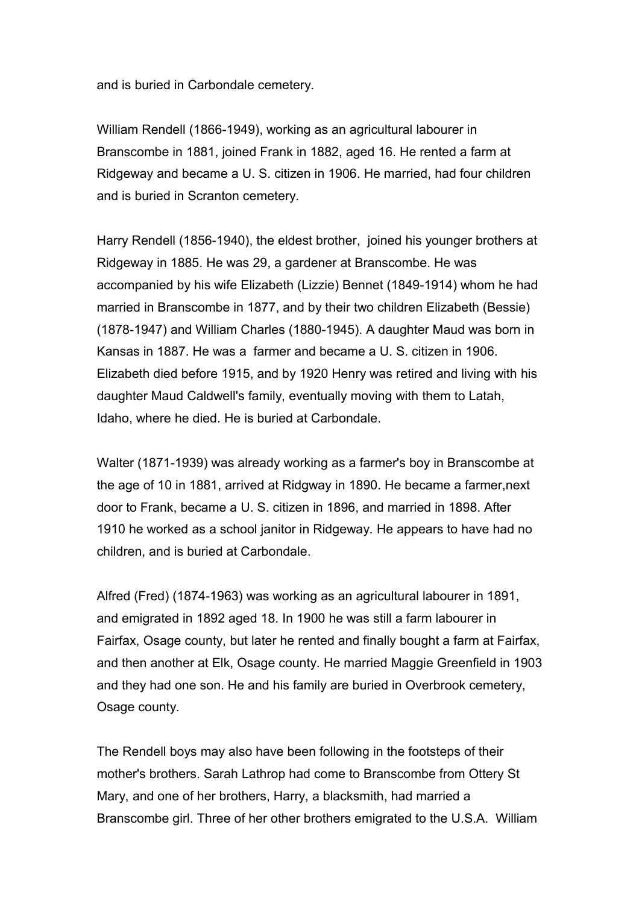and is buried in Carbondale cemetery.

William Rendell (1866-1949), working as an agricultural labourer in Branscombe in 1881, joined Frank in 1882, aged 16. He rented a farm at Ridgeway and became a U. S. citizen in 1906. He married, had four children and is buried in Scranton cemetery.

Harry Rendell (1856-1940), the eldest brother, joined his younger brothers at Ridgeway in 1885. He was 29, a gardener at Branscombe. He was accompanied by his wife Elizabeth (Lizzie) Bennet (1849-1914) whom he had married in Branscombe in 1877, and by their two children Elizabeth (Bessie) (1878-1947) and William Charles (1880-1945). A daughter Maud was born in Kansas in 1887. He was a farmer and became a U. S. citizen in 1906. Elizabeth died before 1915, and by 1920 Henry was retired and living with his daughter Maud Caldwell's family, eventually moving with them to Latah, Idaho, where he died. He is buried at Carbondale.

Walter (1871-1939) was already working as a farmer's boy in Branscombe at the age of 10 in 1881, arrived at Ridgway in 1890. He became a farmer,next door to Frank, became a U. S. citizen in 1896, and married in 1898. After 1910 he worked as a school janitor in Ridgeway. He appears to have had no children, and is buried at Carbondale.

Alfred (Fred) (1874-1963) was working as an agricultural labourer in 1891, and emigrated in 1892 aged 18. In 1900 he was still a farm labourer in Fairfax, Osage county, but later he rented and finally bought a farm at Fairfax, and then another at Elk, Osage county. He married Maggie Greenfield in 1903 and they had one son. He and his family are buried in Overbrook cemetery, Osage county.

The Rendell boys may also have been following in the footsteps of their mother's brothers. Sarah Lathrop had come to Branscombe from Ottery St Mary, and one of her brothers, Harry, a blacksmith, had married a Branscombe girl. Three of her other brothers emigrated to the U.S.A. William